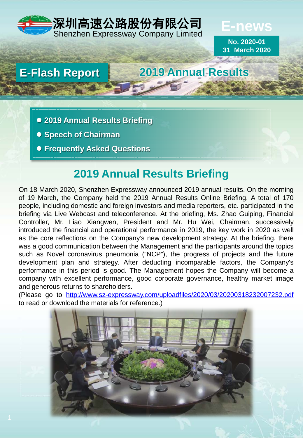

**E-news**

**No. 2020-01 31 March 2020**

## **E-Flash Report 2019 Annual Results**

- **2019 Annual Results Briefing**
- **Speech of Chairman**
- **Frequently Asked Questions**

# **2019 Annual Results Briefing**

On 18 March 2020, Shenzhen Expressway announced 2019 annual results. On the morning of 19 March, the Company held the 2019 Annual Results Online Briefing. A total of 170 people, including domestic and foreign investors and media reporters, etc. participated in the briefing via Live Webcast and teleconference. At the briefing, Ms. Zhao Guiping, Financial Controller, Mr. Liao Xiangwen, President and Mr. Hu Wei, Chairman, successively introduced the financial and operational performance in 2019, the key work in 2020 as well as the core reflections on the Company's new development strategy. At the briefing, there was a good communication between the Management and the participants around the topics such as Novel coronavirus pneumonia ("NCP"), the progress of projects and the future development plan and strategy. After deducting incomparable factors, the Company's performance in this period is good. The Management hopes the Company will become a company with excellent performance, good corporate governance, healthy market image and generous returns to shareholders.

(Please go to <http://www.sz-expressway.com/uploadfiles/2020/03/20200318232007232.pdf> to read or download the materials for reference.)

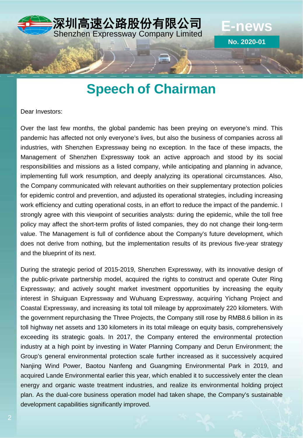

# **Speech of Chairman**

Dear Investors:

Over the last few months, the global pandemic has been preying on everyone's mind. This pandemic has affected not only everyone's lives, but also the business of companies across all industries, with Shenzhen Expressway being no exception. In the face of these impacts, the Management of Shenzhen Expressway took an active approach and stood by its social responsibilities and missions as a listed company, while anticipating and planning in advance, implementing full work resumption, and deeply analyzing its operational circumstances. Also, the Company communicated with relevant authorities on their supplementary protection policies for epidemic control and prevention, and adjusted its operational strategies, including increasing work efficiency and cutting operational costs, in an effort to reduce the impact of the pandemic. I strongly agree with this viewpoint of securities analysts: during the epidemic, while the toll free policy may affect the short-term profits of listed companies, they do not change their long-term value. The Management is full of confidence about the Company's future development, which does not derive from nothing, but the implementation results of its previous five-year strategy and the blueprint of its next.

During the strategic period of 2015-2019, Shenzhen Expressway, with its innovative design of the public-private partnership model, acquired the rights to construct and operate Outer Ring Expressway; and actively sought market investment opportunities by increasing the equity interest in Shuiguan Expressway and Wuhuang Expressway, acquiring Yichang Project and Coastal Expressway, and increasing its total toll mileage by approximately 220 kilometers. With the government repurchasing the Three Projects, the Company still rose by RMB8.6 billion in its toll highway net assets and 130 kilometers in its total mileage on equity basis, comprehensively exceeding its strategic goals. In 2017, the Company entered the environmental protection industry at a high point by investing in Water Planning Company and Derun Environment; the Group's general environmental protection scale further increased as it successively acquired Nanjing Wind Power, Baotou Nanfeng and Guangming Environmental Park in 2019, and acquired Lande Environmental earlier this year, which enabled it to successively enter the clean energy and organic waste treatment industries, and realize its environmental holding project plan. As the dual-core business operation model had taken shape, the Company's sustainable development capabilities significantly improved.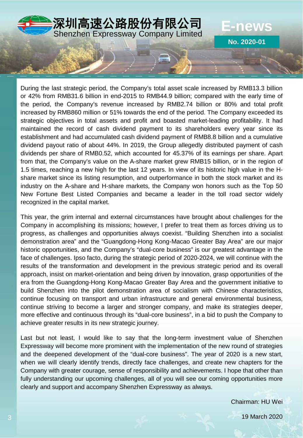

During the last strategic period, the Company's total asset scale increased by RMB13.3 billion or 42% from RMB31.6 billion in end-2015 to RMB44.9 billion; compared with the early time of the period, the Company's revenue increased by RMB2.74 billion or 80% and total profit increased by RMB860 million or 51% towards the end of the period. The Company exceeded its strategic objectives in total assets and profit and boasted market-leading profitability. It had maintained the record of cash dividend payment to its shareholders every year since its establishment and had accumulated cash dividend payment of RMB8.8 billion and a cumulative dividend payout ratio of about 44%. In 2019, the Group allegedly distributed payment of cash dividends per share of RMB0.52, which accounted for 45.37% of its earnings per share. Apart from that, the Company's value on the A-share market grew RMB15 billion, or in the region of 1.5 times, reaching a new high for the last 12 years. In view of its historic high value in the Hshare market since its listing resumption, and outperformance in both the stock market and its industry on the A-share and H-share markets, the Company won honors such as the Top 50 New Fortune Best Listed Companies and became a leader in the toll road sector widely recognized in the capital market.

This year, the grim internal and external circumstances have brought about challenges for the Company in accomplishing its missions; however, I prefer to treat them as forces driving us to progress, as challenges and opportunities always coexist. "Building Shenzhen into a socialist demonstration area" and the "Guangdong-Hong Kong-Macao Greater Bay Area" are our major historic opportunities, and the Company's "dual-core business" is our greatest advantage in the face of challenges. Ipso facto, during the strategic period of 2020-2024, we will continue with the results of the transformation and development in the previous strategic period and its overall approach, insist on market-orientation and being driven by innovation, grasp opportunities of the era from the Guangdong-Hong Kong-Macao Greater Bay Area and the government initiative to build Shenzhen into the pilot demonstration area of socialism with Chinese characteristics, continue focusing on transport and urban infrastructure and general environmental business, continue striving to become a larger and stronger company, and make its strategies deeper, more effective and continuous through its "dual-core business", in a bid to push the Company to achieve greater results in its new strategic journey.

Last but not least, I would like to say that the long-term investment value of Shenzhen Expressway will become more prominent with the implementation of the new round of strategies and the deepened development of the "dual-core business". The year of 2020 is a new start, when we will clearly identify trends, directly face challenges, and create new chapters for the Company with greater courage, sense of responsibility and achievements. I hope that other than fully understanding our upcoming challenges, all of you will see our coming opportunities more clearly and support and accompany Shenzhen Expressway as always.

Chairman: HU Wei

19 March 2020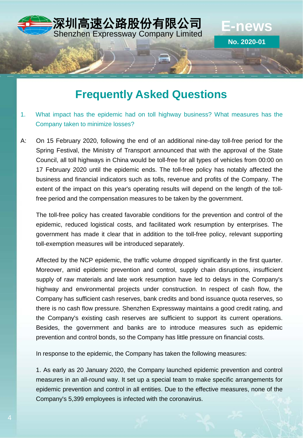

## **Frequently Asked Questions**

- 1. What impact has the epidemic had on toll highway business? What measures has the Company taken to minimize losses?
- A: On 15 February 2020, following the end of an additional nine-day toll-free period for the Spring Festival, the Ministry of Transport announced that with the approval of the State Council, all toll highways in China would be toll-free for all types of vehicles from 00:00 on 17 February 2020 until the epidemic ends. The toll-free policy has notably affected the business and financial indicators such as tolls, revenue and profits of the Company. The extent of the impact on this year's operating results will depend on the length of the tollfree period and the compensation measures to be taken by the government.

The toll-free policy has created favorable conditions for the prevention and control of the epidemic, reduced logistical costs, and facilitated work resumption by enterprises. The government has made it clear that in addition to the toll-free policy, relevant supporting toll-exemption measures will be introduced separately.

Affected by the NCP epidemic, the traffic volume dropped significantly in the first quarter. Moreover, amid epidemic prevention and control, supply chain disruptions, insufficient supply of raw materials and late work resumption have led to delays in the Company's highway and environmental projects under construction. In respect of cash flow, the Company has sufficient cash reserves, bank credits and bond issuance quota reserves, so there is no cash flow pressure. Shenzhen Expressway maintains a good credit rating, and the Company's existing cash reserves are sufficient to support its current operations. Besides, the government and banks are to introduce measures such as epidemic prevention and control bonds, so the Company has little pressure on financial costs.

In response to the epidemic, the Company has taken the following measures:

1. As early as 20 January 2020, the Company launched epidemic prevention and control measures in an all-round way. It set up a special team to make specific arrangements for epidemic prevention and control in all entities. Due to the effective measures, none of the Company's 5,399 employees is infected with the coronavirus.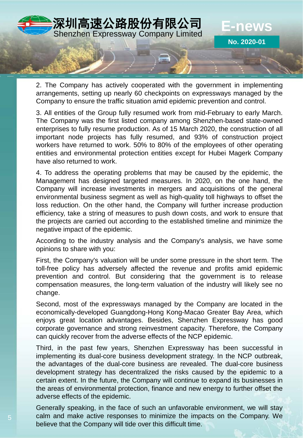

2. The Company has actively cooperated with the government in implementing arrangements, setting up nearly 60 checkpoints on expressways managed by the Company to ensure the traffic situation amid epidemic prevention and control.

3. All entities of the Group fully resumed work from mid-February to early March. The Company was the first listed company among Shenzhen-based state-owned enterprises to fully resume production. As of 15 March 2020, the construction of all important node projects has fully resumed, and 93% of construction project workers have returned to work. 50% to 80% of the employees of other operating entities and environmental protection entities except for Hubei Magerk Company have also returned to work.

4. To address the operating problems that may be caused by the epidemic, the Management has designed targeted measures. In 2020, on the one hand, the Company will increase investments in mergers and acquisitions of the general environmental business segment as well as high-quality toll highways to offset the loss reduction. On the other hand, the Company will further increase production efficiency, take a string of measures to push down costs, and work to ensure that the projects are carried out according to the established timeline and minimize the negative impact of the epidemic.

According to the industry analysis and the Company's analysis, we have some opinions to share with you:

First, the Company's valuation will be under some pressure in the short term. The toll-free policy has adversely affected the revenue and profits amid epidemic prevention and control. But considering that the government is to release compensation measures, the long-term valuation of the industry will likely see no change.

Second, most of the expressways managed by the Company are located in the economically-developed Guangdong-Hong Kong-Macao Greater Bay Area, which enjoys great location advantages. Besides, Shenzhen Expressway has good corporate governance and strong reinvestment capacity. Therefore, the Company can quickly recover from the adverse effects of the NCP epidemic.

Third, in the past few years, Shenzhen Expressway has been successful in implementing its dual-core business development strategy. In the NCP outbreak, the advantages of the dual-core business are revealed. The dual-core business development strategy has decentralized the risks caused by the epidemic to a certain extent. In the future, the Company will continue to expand its businesses in the areas of environmental protection, finance and new energy to further offset the adverse effects of the epidemic.

Generally speaking, in the face of such an unfavorable environment, we will stay calm and make active responses to minimize the impacts on the Company. We believe that the Company will tide over this difficult time.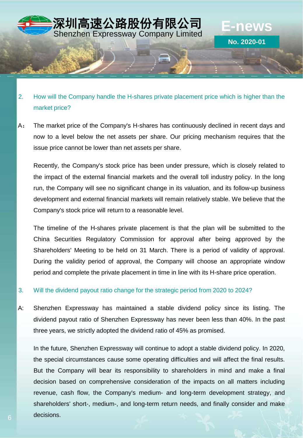

Shenzhen Expressway Company Limited **E-news**

**No. 2020-01**

深圳高速公路股份有限公司

A: The market price of the Company's H-shares has continuously declined in recent days and now to a level below the net assets per share. Our pricing mechanism requires that the issue price cannot be lower than net assets per share.

Recently, the Company's stock price has been under pressure, which is closely related to the impact of the external financial markets and the overall toll industry policy. In the long run, the Company will see no significant change in its valuation, and its follow-up business development and external financial markets will remain relatively stable. We believe that the Company's stock price will return to a reasonable level.

The timeline of the H-shares private placement is that the plan will be submitted to the China Securities Regulatory Commission for approval after being approved by the Shareholders' Meeting to be held on 31 March. There is a period of validity of approval. During the validity period of approval, the Company will choose an appropriate window period and complete the private placement in time in line with its H-share price operation.

3. Will the dividend payout ratio change for the strategic period from 2020 to 2024?

A: Shenzhen Expressway has maintained a stable dividend policy since its listing. The dividend payout ratio of Shenzhen Expressway has never been less than 40%. In the past three years, we strictly adopted the dividend ratio of 45% as promised.

In the future, Shenzhen Expressway will continue to adopt a stable dividend policy. In 2020, the special circumstances cause some operating difficulties and will affect the final results. But the Company will bear its responsibility to shareholders in mind and make a final decision based on comprehensive consideration of the impacts on all matters including revenue, cash flow, the Company's medium- and long-term development strategy, and shareholders' short-, medium-, and long-term return needs, and finally consider and make decisions.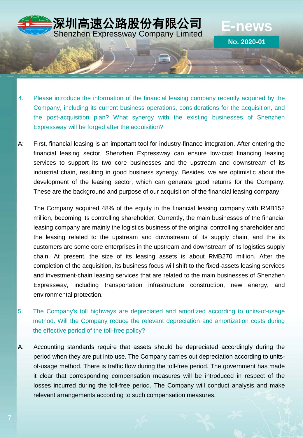4. Please introduce the information of the financial leasing company recently acquired by the Company, including its current business operations, considerations for the acquisition, and the post-acquisition plan? What synergy with the existing businesses of Shenzhen Expressway will be forged after the acquisition?

深圳高速公路股份有限公司

木**圳向还公屿収顶乍陀公PJ E-NeWS**<br>Shenzhen Expressway Company Limited

**No. 2020-01**

A: First, financial leasing is an important tool for industry-finance integration. After entering the financial leasing sector, Shenzhen Expressway can ensure low-cost financing leasing services to support its two core businesses and the upstream and downstream of its industrial chain, resulting in good business synergy. Besides, we are optimistic about the development of the leasing sector, which can generate good returns for the Company. These are the background and purpose of our acquisition of the financial leasing company.

The Company acquired 48% of the equity in the financial leasing company with RMB152 million, becoming its controlling shareholder. Currently, the main businesses of the financial leasing company are mainly the logistics business of the original controlling shareholder and the leasing related to the upstream and downstream of its supply chain, and the its customers are some core enterprises in the upstream and downstream of its logistics supply chain. At present, the size of its leasing assets is about RMB270 million. After the completion of the acquisition, its business focus will shift to the fixed-assets leasing services and investment-chain leasing services that are related to the main businesses of Shenzhen Expressway, including transportation infrastructure construction, new energy, and environmental protection.

- 5. The Company's toll highways are depreciated and amortized according to units-of-usage method. Will the Company reduce the relevant depreciation and amortization costs during the effective period of the toll-free policy?
- A: Accounting standards require that assets should be depreciated accordingly during the period when they are put into use. The Company carries out depreciation according to unitsof-usage method. There is traffic flow during the toll-free period. The government has made it clear that corresponding compensation measures will be introduced in respect of the losses incurred during the toll-free period. The Company will conduct analysis and make relevant arrangements according to such compensation measures.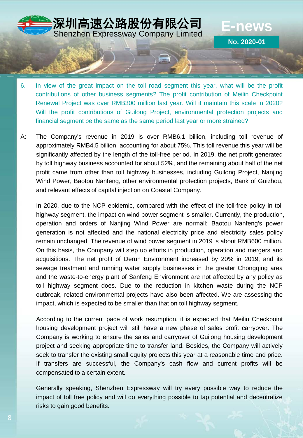

木**圳向还公屿収订পPK公PJ E-NeWS**<br>Shenzhen Expressway Company Limited

**No. 2020-01**

深圳高速公路股份有限公司

A: The Company's revenue in 2019 is over RMB6.1 billion, including toll revenue of approximately RMB4.5 billion, accounting for about 75%. This toll revenue this year will be significantly affected by the length of the toll-free period. In 2019, the net profit generated by toll highway business accounted for about 52%, and the remaining about half of the net profit came from other than toll highway businesses, including Guilong Project, Nanjing Wind Power, Baotou Nanfeng, other environmental protection projects, Bank of Guizhou, and relevant effects of capital injection on Coastal Company.

In 2020, due to the NCP epidemic, compared with the effect of the toll-free policy in toll highway segment, the impact on wind power segment is smaller. Currently, the production, operation and orders of Nanjing Wind Power are normall; Baotou Nanfeng's power generation is not affected and the national electricity price and electricity sales policy remain unchanged. The revenue of wind power segment in 2019 is about RMB600 million. On this basis, the Company will step up efforts in production, operation and mergers and acquisitions. The net profit of Derun Environment increased by 20% in 2019, and its sewage treatment and running water supply businesses in the greater Chongqing area and the waste-to-energy plant of Sanfeng Environment are not affected by any policy as toll highway segment does. Due to the reduction in kitchen waste during the NCP outbreak, related environmental projects have also been affected. We are assessing the impact, which is expected to be smaller than that on toll highway segment.

According to the current pace of work resumption, it is expected that Meilin Checkpoint housing development project will still have a new phase of sales profit carryover. The Company is working to ensure the sales and carryover of Guilong housing development project and seeking appropriate time to transfer land. Besides, the Company will actively seek to transfer the existing small equity projects this year at a reasonable time and price. If transfers are successful, the Company's cash flow and current profits will be compensated to a certain extent.

Generally speaking, Shenzhen Expressway will try every possible way to reduce the impact of toll free policy and will do everything possible to tap potential and decentralize risks to gain good benefits.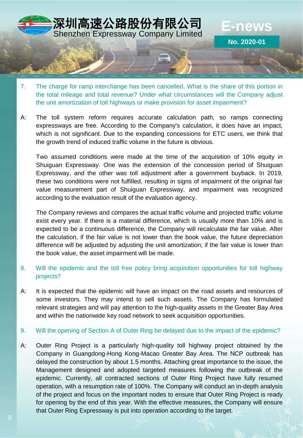

- 7. The charge for ramp interchange has been cancelled. What is the share of this portion in the total mileage and total revenue? Under what circumstances will the Company adjust the unit amortization of toll highways or make provision for asset impairment?
- A: The toll system reform requires accurate calculation path, so ramps connecting expressways are free. According to the Company's calculation, it does have an impact, which is not significant. Due to the expanding concessions for ETC users, we think that the growth trend of induced traffic volume in the future is obvious.

Two assumed conditions were made at the time of the acquisition of 10% equity in Shuiguan Expressway. One was the extension of the concession period of Shuiguan Expressway, and the other was toll adjustment after a government buyback. In 2019, these two conditions were not fulfilled, resulting in signs of impairment of the original fair value measurement part of Shuiguan Expressway, and impairment was recognized according to the evaluation result of the evaluation agency.

The Company reviews and compares the actual traffic volume and projected traffic volume exist every year. If there is a material difference, which is usually more than 10% and is expected to be a continuous difference, the Company will recalculate the fair value. After the calculation, if the fair value is not lower than the book value, the future depreciation difference will be adjusted by adjusting the unit amortization; if the fair value is lower than the book value, the asset impairment will be made.

- 8. Will the epidemic and the toll free policy bring acquisition opportunities for toll highway projects?
- A: It is expected that the epidemic will have an impact on the road assets and resources of some investors. They may intend to sell such assets. The Company has formulated relevant strategies and will pay attention to the high-quality assets in the Greater Bay Area and within the nationwide key road network to seek acquisition opportunities.
- 9. Will the opening of Section A of Outer Ring be delayed due to the impact of the epidemic?
- A: Outer Ring Project is a particularly high-quality toll highway project obtained by the Company in Guangdong-Hong Kong-Macao Greater Bay Area. The NCP outbreak has delayed the construction by about 1.5 months. Attaching great importance to the issue, the Management designed and adopted targeted measures following the outbreak of the epidemic. Currently, all contracted sections of Outer Ring Project have fully resumed operation, with a resumption rate of 100%. The Company will conduct an in-depth analysis of the project and focus on the important nodes to ensure that Outer Ring Project is ready for opening by the end of this year. With the effective measures, the Company will ensure that Outer Ring Expressway is put into operation according to the target.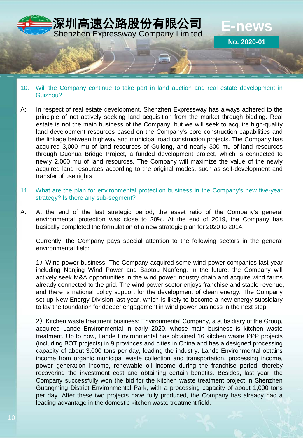

### 10. Will the Company continue to take part in land auction and real estate development in Guizhou?

- A: In respect of real estate development, Shenzhen Expressway has always adhered to the principle of not actively seeking land acquisition from the market through bidding. Real estate is not the main business of the Company, but we will seek to acquire high-quality land development resources based on the Company's core construction capabilities and the linkage between highway and municipal road construction projects. The Company has acquired 3,000 mu of land resources of Guilong, and nearly 300 mu of land resources through Duohua Bridge Project, a funded development project, which is connected to newly 2,000 mu of land resources. The Company will maximize the value of the newly acquired land resources according to the original modes, such as self-development and transfer of use rights.
- 11. What are the plan for environmental protection business in the Company's new five-year strategy? Is there any sub-segment?
- A: At the end of the last strategic period, the asset ratio of the Company's general environmental protection was close to 20%. At the end of 2019, the Company has basically completed the formulation of a new strategic plan for 2020 to 2014.

Currently, the Company pays special attention to the following sectors in the general environmental field:

1)Wind power business: The Company acquired some wind power companies last year including Nanjing Wind Power and Baotou Nanfeng. In the future, the Company will actively seek M&A opportunities in the wind power industry chain and acquire wind farms already connected to the grid. The wind power sector enjoys franchise and stable revenue, and there is national policy support for the development of clean energy. The Company set up New Energy Division last year, which is likely to become a new energy subsidiary to lay the foundation for deeper engagement in wind power business in the next step.

2) Kitchen waste treatment business: Environmental Company, a subsidiary of the Group, acquired Lande Environmental in early 2020, whose main business is kitchen waste treatment. Up to now, Lande Environmental has obtained 16 kitchen waste PPP projects (including BOT projects) in 9 provinces and cities in China and has a designed processing capacity of about 3,000 tons per day, leading the industry. Lande Environmental obtains income from organic municipal waste collection and transportation, processing income, power generation income, renewable oil income during the franchise period, thereby recovering the investment cost and obtaining certain benefits. Besides, last year, the Company successfully won the bid for the kitchen waste treatment project in Shenzhen Guangming District Environmental Park, with a processing capacity of about 1,000 tons per day. After these two projects have fully produced, the Company has already had a leading advantage in the domestic kitchen waste treatment field.